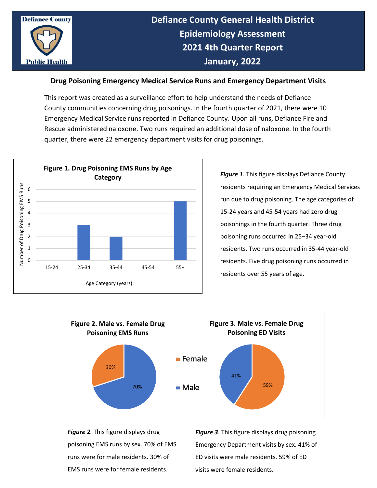

## **Drug Poisoning Emergency Medical Service Runs and Emergency Department Visits**

This report was created as a surveillance effort to help understand the needs of Defiance County communities concerning drug poisonings. In the fourth quarter of 2021, there were 10 Emergency Medical Service runs reported in Defiance County. Upon all runs, Defiance Fire and Rescue administered naloxone. Two runs required an additional dose of naloxone. In the fourth quarter, there were 22 emergency department visits for drug poisonings.



*Figure 1.* This figure displays Defiance County residents requiring an Emergency Medical Services run due to drug poisoning. The age categories of 15-24 years and 45-54 years had zero drug poisonings in the fourth quarter. Three drug poisoning runs occurred in 25–34 year-old residents. Two runs occurred in 35-44 year-old residents. Five drug poisoning runs occurred in residents over 55 years of age.



*Figure 2.* This figure displays drug poisoning EMS runs by sex. 70% of EMS runs were for male residents. 30% of EMS runs were for female residents.

*Figure 3.* This figure displays drug poisoning Emergency Department visits by sex. 41% of ED visits were male residents. 59% of ED visits were female residents.